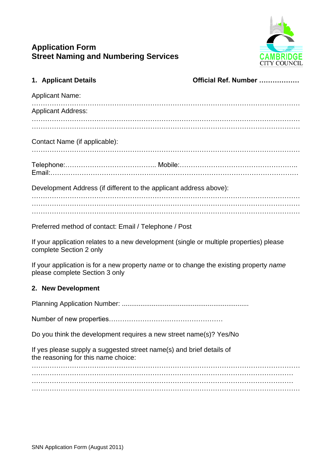

# **Application Form Street Naming and Numbering Services**

| 1. Applicant Details                |                                                                      | Official Ref. Number                                                                    |
|-------------------------------------|----------------------------------------------------------------------|-----------------------------------------------------------------------------------------|
| <b>Applicant Name:</b>              |                                                                      |                                                                                         |
| <b>Applicant Address:</b>           |                                                                      |                                                                                         |
|                                     |                                                                      |                                                                                         |
| Contact Name (if applicable):       |                                                                      |                                                                                         |
|                                     |                                                                      |                                                                                         |
|                                     | Development Address (if different to the applicant address above):   |                                                                                         |
|                                     |                                                                      |                                                                                         |
|                                     | Preferred method of contact: Email / Telephone / Post                |                                                                                         |
| complete Section 2 only             |                                                                      | If your application relates to a new development (single or multiple properties) please |
| please complete Section 3 only      |                                                                      | If your application is for a new property name or to change the existing property name  |
| 2. New Development                  |                                                                      |                                                                                         |
|                                     |                                                                      |                                                                                         |
|                                     |                                                                      |                                                                                         |
|                                     | Do you think the development requires a new street name(s)? Yes/No   |                                                                                         |
| the reasoning for this name choice: | If yes please supply a suggested street name(s) and brief details of |                                                                                         |
|                                     |                                                                      |                                                                                         |
|                                     |                                                                      |                                                                                         |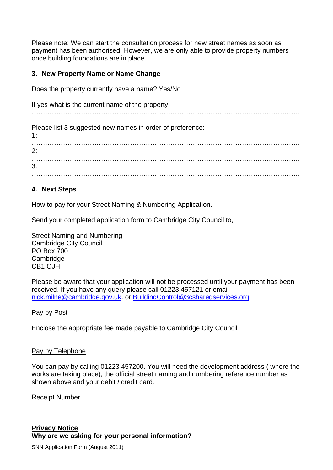Please note: We can start the consultation process for new street names as soon as payment has been authorised. However, we are only able to provide property numbers once building foundations are in place.

#### **3. New Property Name or Name Change**

Does the property currently have a name? Yes/No

If yes what is the current name of the property:

…………………………………………………………………………………………………………

Please list 3 suggested new names in order of preference:

1: …………………………………………………………………………………………………………  $2.$ 3: . The contract of the contract of the contract of the contract of the contract of the contract of the contract of the contract of the contract of the contract of the contract of the contract of the contract of the contrac

## **4. Next Steps**

How to pay for your Street Naming & Numbering Application.

Send your completed application form to Cambridge City Council to,

Street Naming and Numbering Cambridge City Council PO Box 700 **Cambridge** CB1 OJH

Please be aware that your application will not be processed until your payment has been received. If you have any query please call 01223 457121 or email [nick.milne@cambridge.gov.uk.](mailto:nick.milne@cambridge.gov.uk) or [BuildingControl@3csharedservices.org](mailto:BuildingControl@3csharedservices.org)

Pay by Post

Enclose the appropriate fee made payable to Cambridge City Council

#### Pay by Telephone

You can pay by calling 01223 457200. You will need the development address ( where the works are taking place), the official street naming and numbering reference number as shown above and your debit / credit card.

Receipt Number ………………………

## **Privacy Notice Why are we asking for your personal information?**

SNN Application Form (August 2011)